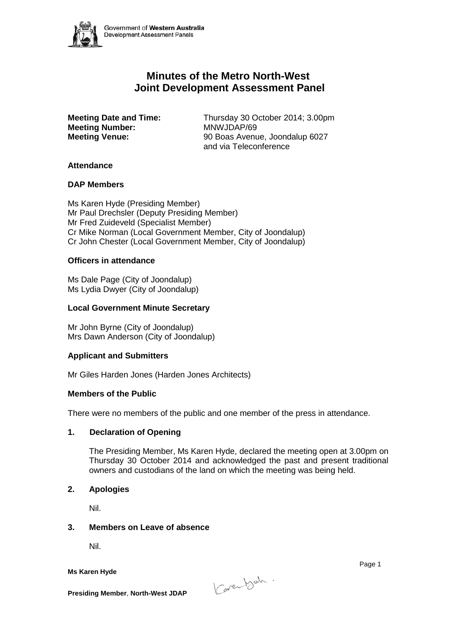

# **Minutes of the Metro North-West Joint Development Assessment Panel**

**Meeting Number:<br>Meeting Venue:** 

**Meeting Date and Time:** Thursday 30 October 2014; 3.00pm<br>**Meeting Number:** MNWJDAP/69 **Meeting Venue:** 90 Boas Avenue, Joondalup 6027 and via Teleconference

## **Attendance**

## **DAP Members**

Ms Karen Hyde (Presiding Member) Mr Paul Drechsler (Deputy Presiding Member) Mr Fred Zuideveld (Specialist Member) Cr Mike Norman (Local Government Member, City of Joondalup) Cr John Chester (Local Government Member, City of Joondalup)

## **Officers in attendance**

Ms Dale Page (City of Joondalup) Ms Lydia Dwyer (City of Joondalup)

## **Local Government Minute Secretary**

Mr John Byrne (City of Joondalup) Mrs Dawn Anderson (City of Joondalup)

# **Applicant and Submitters**

Mr Giles Harden Jones (Harden Jones Architects)

#### **Members of the Public**

There were no members of the public and one member of the press in attendance.

# **1. Declaration of Opening**

The Presiding Member, Ms Karen Hyde, declared the meeting open at 3.00pm on Thursday 30 October 2014 and acknowledged the past and present traditional owners and custodians of the land on which the meeting was being held.

#### **2. Apologies**

Nil.

#### **3. Members on Leave of absence**

Nil.

**Ms Karen Hyde**



Page 1

**Presiding Member**, **North-West JDAP**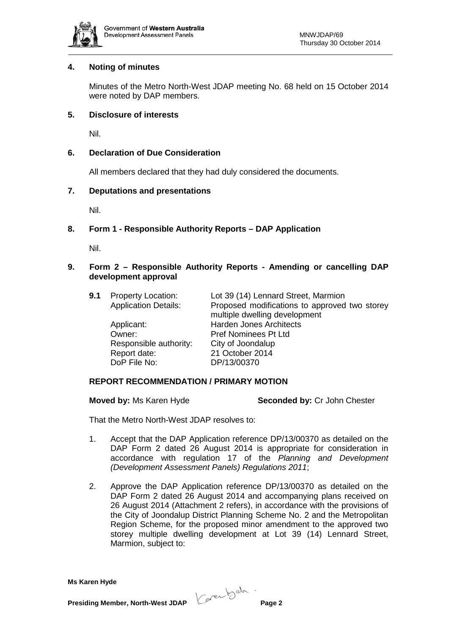

## **4. Noting of minutes**

Minutes of the Metro North-West JDAP meeting No. 68 held on 15 October 2014 were noted by DAP members.

## **5. Disclosure of interests**

Nil.

# **6. Declaration of Due Consideration**

All members declared that they had duly considered the documents.

## **7. Deputations and presentations**

Nil.

# **8. Form 1 - Responsible Authority Reports – DAP Application**

Nil.

# **9. Form 2 – Responsible Authority Reports - Amending or cancelling DAP development approval**

| 9.1 | <b>Property Location:</b>   | Lot 39 (14) Lennard Street, Marmion           |
|-----|-----------------------------|-----------------------------------------------|
|     | <b>Application Details:</b> | Proposed modifications to approved two storey |
|     |                             | multiple dwelling development                 |
|     | Applicant:                  | <b>Harden Jones Architects</b>                |
|     | Owner:                      | <b>Pref Nominees Pt Ltd</b>                   |
|     | Responsible authority:      | City of Joondalup                             |
|     | Report date:                | 21 October 2014                               |
|     | DoP File No:                | DP/13/00370                                   |
|     |                             |                                               |

# **REPORT RECOMMENDATION / PRIMARY MOTION**

**Moved by:** Ms Karen Hyde **Seconded by:** Cr John Chester

That the Metro North-West JDAP resolves to:

- 1. Accept that the DAP Application reference DP/13/00370 as detailed on the DAP Form 2 dated 26 August 2014 is appropriate for consideration in accordance with regulation 17 of the *Planning and Development (Development Assessment Panels) Regulations 2011*;
- 2. Approve the DAP Application reference DP/13/00370 as detailed on the DAP Form 2 dated 26 August 2014 and accompanying plans received on 26 August 2014 (Attachment 2 refers), in accordance with the provisions of the City of Joondalup District Planning Scheme No. 2 and the Metropolitan Region Scheme, for the proposed minor amendment to the approved two storey multiple dwelling development at Lot 39 (14) Lennard Street, Marmion, subject to:

**Ms Karen Hyde**

**Presiding Member, North-West JDAP Contract Data Page 2**